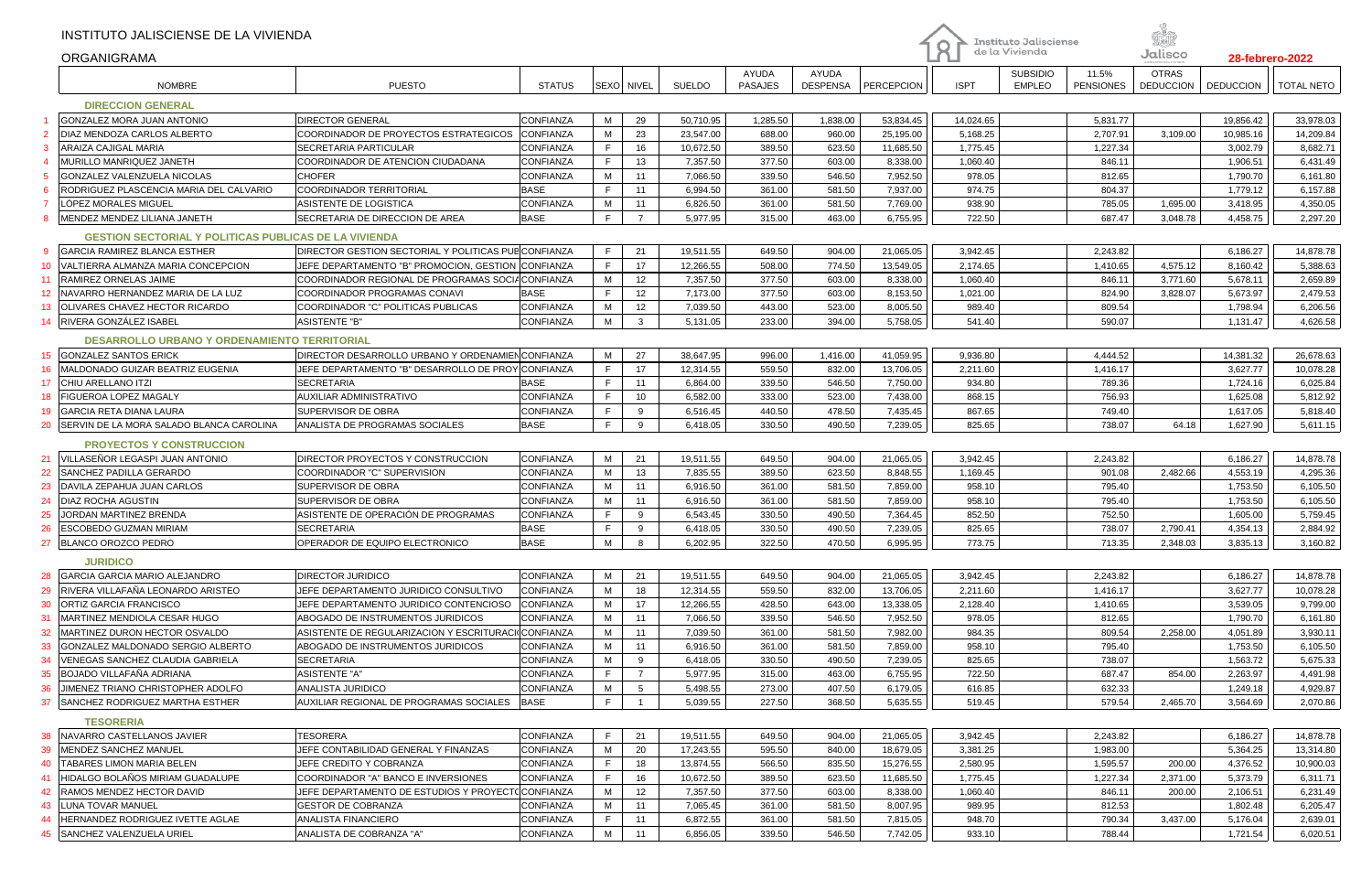|                 | INSTITUTO JALISCIENSE DE LA VIVIENDA<br><b>ORGANIGRAMA</b>   |                                                      |                  |    |                |                      |                                |                          |            | $\mathsf R$ | <b>Instituto Jalisciense</b><br>de la Vivienda |                           | Jalisco                          |                  | 28-febrero-2022   |
|-----------------|--------------------------------------------------------------|------------------------------------------------------|------------------|----|----------------|----------------------|--------------------------------|--------------------------|------------|-------------|------------------------------------------------|---------------------------|----------------------------------|------------------|-------------------|
|                 | <b>NOMBRE</b>                                                | <b>PUESTO</b>                                        | <b>STATUS</b>    |    | SEXO NIVEL     | <b>SUELDO</b>        | <b>AYUDA</b><br><b>PASAJES</b> | AYUDA<br><b>DESPENSA</b> | PERCEPCION | <b>ISPT</b> | <b>SUBSIDIO</b><br><b>EMPLEO</b>               | 11.5%<br><b>PENSIONES</b> | <b>OTRAS</b><br><b>DEDUCCION</b> | <b>DEDUCCION</b> | <b>TOTAL NETO</b> |
|                 | <b>DIRECCION GENERAL</b>                                     |                                                      |                  |    |                |                      |                                |                          |            |             |                                                |                           |                                  |                  |                   |
|                 | <b>GONZALEZ MORA JUAN ANTONIO</b>                            | <b>DIRECTOR GENERAL</b>                              | CONFIANZA        | M  | 29             | 50,710.95            | 1,285.50                       | 1,838.00                 | 53,834.45  | 14,024.65   |                                                | 5,831.77                  |                                  | 19,856.42        | 33,978.03         |
|                 | DIAZ MENDOZA CARLOS ALBERTO                                  | COORDINADOR DE PROYECTOS ESTRATEGICOS                | <b>CONFIANZA</b> | M  | 23             | 23,547.00            | 688.00                         | 960.00                   | 25,195.00  | 5,168.25    |                                                | 2,707.91                  | 3,109.00                         | 10,985.16        | 14,209.84         |
|                 | ARAIZA CAJIGAL MARIA                                         | SECRETARIA PARTICULAR                                | CONFIANZA        | F. | 16             | 10,672.50            | 389.50                         | 623.50                   | 11,685.50  | 1,775.45    |                                                | 1,227.34                  |                                  | 3,002.79         | 8,682.71          |
|                 | MURILLO MANRIQUEZ JANETH                                     | COORDINADOR DE ATENCION CIUDADANA                    | CONFIANZA        | F. | 13             | 7,357.50             | 377.50                         | 603.00                   | 8,338.00   | 1,060.40    |                                                | 846.11                    |                                  | 1,906.51         | 6,431.49          |
|                 | GONZALEZ VALENZUELA NICOLAS                                  | <b>CHOFER</b>                                        | CONFIANZA        | M  | 11             | 7,066.50             | 339.50                         | 546.50                   | 7,952.50   | 978.05      |                                                | 812.65                    |                                  | 1,790.70         | 6,161.80          |
|                 | RODRIGUEZ PLASCENCIA MARIA DEL CALVARIO                      | COORDINADOR TERRITORIAL                              | <b>BASE</b>      | F  | 11             | 6,994.50             | 361.00                         | 581.50                   | 7,937.00   | 974.75      |                                                | 804.37                    |                                  | 1,779.12         | 6,157.88          |
|                 | LÓPEZ MORALES MIGUEL                                         | ASISTENTE DE LOGISTICA                               | CONFIANZA        | М  | 11             | 6,826.50             | 361.00                         | 581.50                   | 7,769.00   | 938.90      |                                                | 785.05                    | 1,695.00                         | 3,418.95         | 4,350.05          |
|                 | MENDEZ MENDEZ LILIANA JANETH                                 | SECRETARIA DE DIRECCION DE AREA                      | <b>BASE</b>      | F  | $\overline{7}$ | 5,977.95             | 315.00                         | 463.00                   | 6,755.95   | 722.50      |                                                | 687.47                    | 3,048.78                         | 4,458.75         | 2,297.20          |
|                 |                                                              |                                                      |                  |    |                |                      |                                |                          |            |             |                                                |                           |                                  |                  |                   |
|                 | <b>GESTION SECTORIAL Y POLITICAS PUBLICAS DE LA VIVIENDA</b> |                                                      |                  | F  |                |                      |                                |                          |            |             |                                                |                           |                                  |                  |                   |
|                 | GARCIA RAMIREZ BLANCA ESTHER                                 | DIRECTOR GESTION SECTORIAL Y POLITICAS PUB CONFIANZA |                  |    | 21             | 19,511.55            | 649.50                         | 904.00                   | 21,065.05  | 3,942.45    |                                                | 2,243.82                  |                                  | 6,186.27         | 14,878.78         |
| 10 <sup>°</sup> | VALTIERRA ALMANZA MARIA CONCEPCION                           | JEFE DEPARTAMENTO "B" PROMOCION, GESTION CONFIANZA   |                  | F  | 17             | 12,266.55            | 508.00                         | 774.50                   | 13,549.05  | 2,174.65    |                                                | 1,410.65                  | 4,575.12                         | 8,160.42         | 5,388.63          |
| 11              | RAMIREZ ORNELAS JAIME                                        | COORDINADOR REGIONAL DE PROGRAMAS SOCIACONFIANZA     |                  | M  | 12             | 7,357.50             | 377.50                         | 603.00                   | 8,338.00   | 1,060.40    |                                                | 846.11                    | 3,771.60                         | 5,678.11         | 2,659.89          |
| 12 <sup>°</sup> | INAVARRO HERNANDEZ MARIA DE LA LUZ                           | COORDINADOR PROGRAMAS CONAVI                         | BASE             | E  | 12             | 7,173.00             | 377.50                         | 603.00                   | 8,153.50   | 1,021.00    |                                                | 824.90                    | 3,828.07                         | 5,673.97         | 2,479.53          |
| 13              | <b>OLIVARES CHAVEZ HECTOR RICARDO</b>                        | COORDINADOR "C" POLITICAS PUBLICAS                   | <b>CONFIANZA</b> | M  | 12             | 7,039.50             | 443.00                         | 523.00                   | 8,005.50   | 989.40      |                                                | 809.54                    |                                  | 1,798.94         | 6,206.56          |
| 14              | RIVERA GONZÁLEZ ISABEL                                       | <b>ASISTENTE "B"</b>                                 | CONFIANZA        | M  | 3              | 5,131.05             | 233.00                         | 394.00                   | 5,758.05   | 541.40      |                                                | 590.07                    |                                  | 1,131.47         | 4,626.58          |
|                 | <b>DESARROLLO URBANO Y ORDENAMIENTO TERRITORIAL</b>          |                                                      |                  |    |                |                      |                                |                          |            |             |                                                |                           |                                  |                  |                   |
|                 | 15 GONZALEZ SANTOS ERICK                                     | DIRECTOR DESARROLLO URBANO Y ORDENAMIEN CONFIANZA    |                  | M  | 27             | 38,647.95            | 996.00                         | 1,416.00                 | 41,059.95  | 9,936.80    |                                                | 4.444.52                  |                                  | 14,381.32        | 26,678.63         |
| 16              | MALDONADO GUIZAR BEATRIZ EUGENIA                             | JEFE DEPARTAMENTO "B" DESARROLLO DE PROY CONFIANZA   |                  | F  | 17             | 12,314.55            | 559.50                         | 832.00                   | 13,706.05  | 2,211.60    |                                                | 1,416.17                  |                                  | 3,627.77         | 10,078.28         |
| 17              | <b>CHIU ARELLANO ITZI</b>                                    | <b>SECRETARIA</b>                                    | <b>BASE</b>      | F. | 11             | 6,864.00             | 339.50                         | 546.50                   | 7,750.00   | 934.80      |                                                | 789.36                    |                                  | 1,724.16         | 6,025.84          |
| 18              | <b>FIGUEROA LOPEZ MAGALY</b>                                 | AUXILIAR ADMINISTRATIVO                              | CONFIANZA        | F. | 10             | 6,582.00             | 333.00                         | 523.00                   | 7,438.00   | 868.15      |                                                | 756.93                    |                                  | 1,625.08         | 5,812.92          |
| 19              | GARCIA RETA DIANA LAURA                                      | SUPERVISOR DE OBRA                                   | CONFIANZA        | F  | 9              | 6,516.45             | 440.50                         | 478.50                   | 7,435.45   | 867.65      |                                                | 749.40                    |                                  | 1,617.05         | 5,818.40          |
| 20              | SERVIN DE LA MORA SALADO BLANCA CAROLINA                     | ANALISTA DE PROGRAMAS SOCIALES                       | <b>BASE</b>      | F  | 9              | 6,418.05             | 330.50                         | 490.50                   | 7,239.05   | 825.65      |                                                | 738.07                    | 64.18                            | 1,627.90         | 5,611.15          |
|                 | <b>PROYECTOS Y CONSTRUCCION</b>                              |                                                      |                  |    |                |                      |                                |                          |            |             |                                                |                           |                                  |                  |                   |
| 21              | VILLASEÑOR LEGASPI JUAN ANTONIO                              | DIRECTOR PROYECTOS Y CONSTRUCCION                    | CONFIANZA        | M  | 21             | 19,511.55            | 649.50                         | 904.00                   | 21,065.05  | 3,942.45    |                                                | 2,243.82                  |                                  | 6,186.27         | 14,878.78         |
| 22              | SANCHEZ PADILLA GERARDO                                      | COORDINADOR "C" SUPERVISION                          | CONFIANZA        | М  | 13             | 7,835.55             | 389.50                         | 623.50                   | 8,848.55   | 1,169.45    |                                                | 901.08                    | 2,482.66                         | 4,553.19         | 4,295.36          |
| 23              | DAVILA ZEPAHUA JUAN CARLOS                                   | SUPERVISOR DE OBRA                                   | CONFIANZA        | M  | 11             | 6,916.50             | 361.00                         | 581.50                   | 7,859.00   | 958.10      |                                                | 795.40                    |                                  | 1,753.50         | 6,105.50          |
| 24              | DIAZ ROCHA AGUSTIN                                           | SUPERVISOR DE OBRA                                   | CONFIANZA        | M  | 11             | 6,916.50             | 361.00                         | 581.50                   | 7,859.00   | 958.10      |                                                | 795.40                    |                                  | 1,753.50         | 6,105.50          |
| 25              | JORDAN MARTINEZ BRENDA                                       | ASISTENTE DE OPERACIÓN DE PROGRAMAS                  | CONFIANZA        | F. | 9              | 6,543.45             | 330.50                         | 490.50                   | 7,364.45   | 852.50      |                                                | 752.50                    |                                  | 1,605.00         | 5,759.45          |
| 26              | <b>ESCOBEDO GUZMAN MIRIAM</b>                                | <b>SECRETARIA</b>                                    | <b>BASE</b>      | F  | 9              |                      | 330.50                         | 490.50                   | 7,239.05   | 825.65      |                                                | 738.07                    | 2,790.41                         | 4,354.13         | 2,884.92          |
| 27              | <b>BLANCO OROZCO PEDRO</b>                                   | OPERADOR DE EQUIPO ELECTRONICO                       | <b>BASE</b>      | M  | 8              | 6,418.05<br>6,202.95 | 322.50                         | 470.50                   | 6,995.95   | 773.75      |                                                | 713.35                    | 2,348.03                         | 3,835.13         | 3,160.82          |
|                 |                                                              |                                                      |                  |    |                |                      |                                |                          |            |             |                                                |                           |                                  |                  |                   |
|                 | <b>JURIDICO</b>                                              |                                                      |                  |    |                |                      |                                |                          |            |             |                                                |                           |                                  |                  |                   |
| 28              | GARCIA GARCIA MARIO ALEJANDRO                                | <b>DIRECTOR JURIDICO</b>                             | CONFIANZA        | M  | 21             | 19,511.55            | 649.50                         | 904.00                   | 21,065.05  | 3,942.45    |                                                | 2,243.82                  |                                  | 6,186.27         | 14,878.78         |
| 29              | RIVERA VILLAFAÑA LEONARDO ARISTEO                            | JEFE DEPARTAMENTO JURIDICO CONSULTIVO                | CONFIANZA        | М  | 18             | 12,314.55            | 559.50                         | 832.00                   | 13,706.05  | 2,211.60    |                                                | 1,416.17                  |                                  | 3,627.77         | 10,078.28         |
| 30              | IORTIZ GARCIA FRANCISCO                                      | JEFE DEPARTAMENTO JURIDICO CONTENCIOSO               | CONFIANZA        | M  | 17             | 12,266.55            | 428.50                         | 643.00                   | 13,338.05  | 2,128.40    |                                                | 1,410.65                  |                                  | 3,539.05         | 9,799.00          |
| 31              | MARTINEZ MENDIOLA CESAR HUGO                                 | ABOGADO DE INSTRUMENTOS JURIDICOS                    | CONFIANZA        | M  | 11             | 7,066.50             | 339.50                         | 546.50                   | 7,952.50   | 978.05      |                                                | 812.65                    |                                  | 1,790.70         | 6,161.80          |
| 32              | MARTINEZ DURON HECTOR OSVALDO                                | ASISTENTE DE REGULARIZACION Y ESCRITURACI(CONFIANZA  |                  | м  | 11             | 7,039.50             | 361.00                         | 581.50                   | 7,982.00   | 984.35      |                                                | 809.54                    | 2,258.00                         | 4,051.89         | 3,930.11          |
| 33              | GONZALEZ MALDONADO SERGIO ALBERTO                            | ABOGADO DE INSTRUMENTOS JURIDICOS                    | CONFIANZA        | M  | 11             | 6,916.50             | 361.00                         | 581.50                   | 7,859.00   | 958.10      |                                                | 795.40                    |                                  | 1,753.50         | 6,105.50          |
|                 | VENEGAS SANCHEZ CLAUDIA GABRIELA                             | <b>SECRETARIA</b>                                    | CONFIANZA        | м  | 9              | 6,418.05             | 330.50                         | 490.50                   | 7,239.05   | 825.65      |                                                | 738.07                    |                                  | 1,563.72         | 5,675.33          |
|                 | 35 BOJADO VILLAFAÑA ADRIANA                                  | <b>ASISTENTE "A"</b>                                 | CONFIANZA        | F  | $\overline{7}$ | 5,977.95             | 315.00                         | 463.00                   | 6,755.95   | 722.50      |                                                | 687.47                    | 854.00                           | 2,263.97         | 4,491.98          |
| 36              | JIMENEZ TRIANO CHRISTOPHER ADOLFO                            | ANALISTA JURIDICO                                    | CONFIANZA        | M  | 5              | 5,498.55             | 273.00                         | 407.50                   | 6,179.05   | 616.85      |                                                | 632.33                    |                                  | 1,249.18         | 4,929.87          |
| 37              | SANCHEZ RODRIGUEZ MARTHA ESTHER                              | AUXILIAR REGIONAL DE PROGRAMAS SOCIALES              | <b>BASE</b>      | F  | $\overline{1}$ | 5,039.55             | 227.50                         | 368.50                   | 5,635.55   | 519.45      |                                                | 579.54                    | 2,465.70                         | 3,564.69         | 2,070.86          |
|                 | <b>TESORERIA</b>                                             |                                                      |                  |    |                |                      |                                |                          |            |             |                                                |                           |                                  |                  |                   |
|                 | 38 NAVARRO CASTELLANOS JAVIER                                | TESORERA                                             | CONFIANZA        | F. | 21             | 19,511.55            | 649.50                         | 904.00                   | 21,065.05  | 3,942.45    |                                                | 2,243.82                  |                                  | 6,186.27         | 14,878.78         |
| 39              | MENDEZ SANCHEZ MANUEL                                        | JEFE CONTABILIDAD GENERAL Y FINANZAS                 | CONFIANZA        | M  | 20             | 17,243.55            | 595.50                         | 840.00                   | 18,679.05  | 3,381.25    |                                                | 1,983.00                  |                                  | 5,364.25         | 13,314.80         |
| 40              | <b>TABARES LIMON MARIA BELEN</b>                             | JEFE CREDITO Y COBRANZA                              | CONFIANZA        | F. | 18             | 13,874.55            | 566.50                         | 835.50                   | 15,276.55  | 2,580.95    |                                                | 1,595.57                  | 200.00                           | 4,376.52         | 10,900.03         |
| 41              | HIDALGO BOLAÑOS MIRIAM GUADALUPE                             | COORDINADOR "A" BANCO E INVERSIONES                  | CONFIANZA        | F. | 16             | 10,672.50            | 389.50                         | 623.50                   | 11,685.50  | 1,775.45    |                                                | 1,227.34                  | 2,371.00                         | 5,373.79         | 6,311.71          |
| 42              | RAMOS MENDEZ HECTOR DAVID                                    | JEFE DEPARTAMENTO DE ESTUDIOS Y PROYECTO CONFIANZA   |                  | M  | 12             | 7,357.50             | 377.50                         | 603.00                   | 8,338.00   | 1,060.40    |                                                | 846.11                    | 200.00                           | 2,106.51         | 6,231.49          |
| 43              | LUNA TOVAR MANUEL                                            | <b>GESTOR DE COBRANZA</b>                            | CONFIANZA        | M  | 11             | 7,065.45             | 361.00                         | 581.50                   | 8,007.95   | 989.95      |                                                | 812.53                    |                                  | 1,802.48         | 6,205.47          |
| 44              | HERNANDEZ RODRIGUEZ IVETTE AGLAE                             | ANALISTA FINANCIERO                                  | CONFIANZA        | F  | 11             | 6,872.55             | 361.00                         | 581.50                   | 7,815.05   | 948.70      |                                                | 790.34                    | 3,437.00                         | 5,176.04         | 2,639.01          |
| 45              | SANCHEZ VALENZUELA URIEL                                     | ANALISTA DE COBRANZA "A"                             | CONFIANZA        | M  | 11             | 6,856.05             | 339.50                         | 546.50                   | 7,742.05   | 933.10      |                                                | 788.44                    |                                  | 1,721.54         | 6,020.51          |
|                 |                                                              |                                                      |                  |    |                |                      |                                |                          |            |             |                                                |                           |                                  |                  |                   |